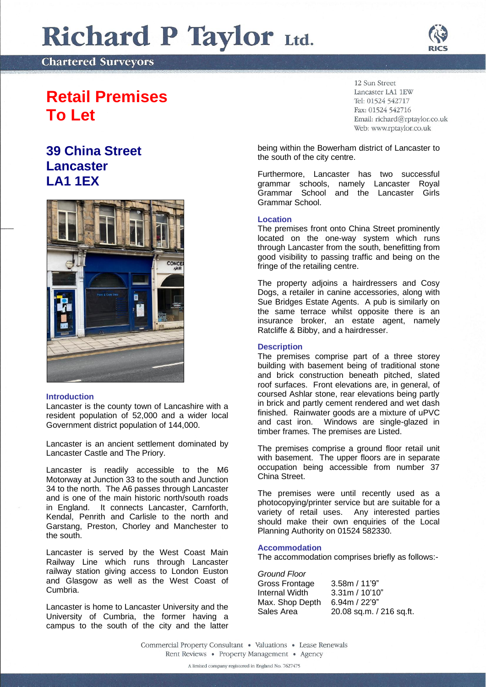# Richard P Taylor Ltd.

**Chartered Surveyors** 

## **Retail Premises To Let**

### **39 China Street Lancaster LA1 1EX**



#### **Introduction**

Lancaster is the county town of Lancashire with a resident population of 52,000 and a wider local Government district population of 144,000.

Lancaster is an ancient settlement dominated by Lancaster Castle and The Priory.

Lancaster is readily accessible to the M6 Motorway at Junction 33 to the south and Junction 34 to the north. The A6 passes through Lancaster and is one of the main historic north/south roads in England. It connects Lancaster, Carnforth, Kendal, Penrith and Carlisle to the north and Garstang, Preston, Chorley and Manchester to the south.

Lancaster is served by the West Coast Main Railway Line which runs through Lancaster railway station giving access to London Euston and Glasgow as well as the West Coast of Cumbria.

Lancaster is home to Lancaster University and the University of Cumbria, the former having a campus to the south of the city and the latter

12 Sun Street Lancaster LA1 1EW Tel: 01524 542717 Fax: 01524 542716 Email: richard@rptaylor.co.uk Web: www.rptaylor.co.uk

being within the Bowerham district of Lancaster to the south of the city centre.

Furthermore, Lancaster has two successful grammar schools, namely Lancaster Royal Grammar School and the Lancaster Girls Grammar School.

#### **Location**

The premises front onto China Street prominently located on the one-way system which runs through Lancaster from the south, benefitting from good visibility to passing traffic and being on the fringe of the retailing centre.

The property adjoins a hairdressers and Cosy Dogs, a retailer in canine accessories, along with Sue Bridges Estate Agents. A pub is similarly on the same terrace whilst opposite there is an insurance broker, an estate agent, namely Ratcliffe & Bibby, and a hairdresser.

#### **Description**

The premises comprise part of a three storey building with basement being of traditional stone and brick construction beneath pitched, slated roof surfaces. Front elevations are, in general, of coursed Ashlar stone, rear elevations being partly in brick and partly cement rendered and wet dash finished. Rainwater goods are a mixture of uPVC and cast iron. Windows are single-glazed in timber frames. The premises are Listed.

The premises comprise a ground floor retail unit with basement. The upper floors are in separate occupation being accessible from number 37 China Street.

The premises were until recently used as a photocopying/printer service but are suitable for a variety of retail uses. Any interested parties should make their own enquiries of the Local Planning Authority on 01524 582330.

#### **Accommodation**

The accommodation comprises briefly as follows:-

*Ground Floor* Gross Frontage 3.58m / 11'9" Internal Width 3.31m / 10'10" Max. Shop Depth 6.94m / 22'9" Sales Area 20.08 sq.m. / 216 sq.ft.

Commercial Property Consultant . Valuations . Lease Renewals Rent Reviews • Property Management • Agency